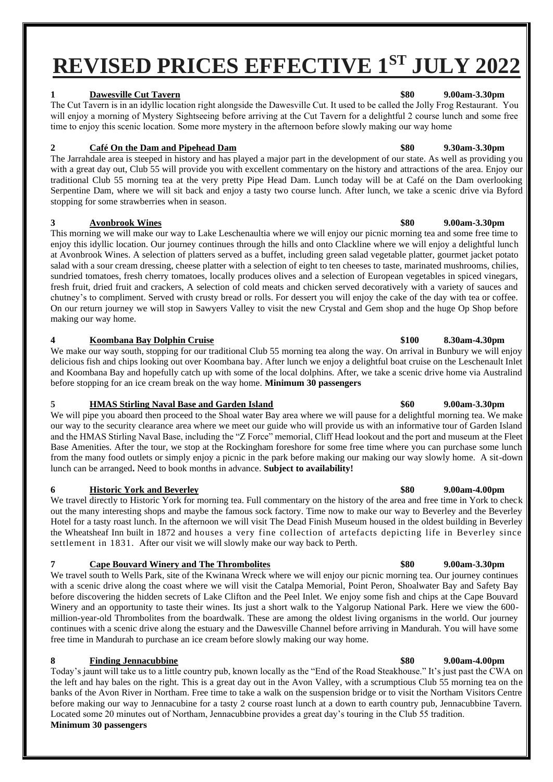# **REVISED PRICES EFFECTIVE 1ST JULY 2022**

### **1 Dawesville Cut Tavern \$80 9.00am-3.30pm**

The Cut Tavern is in an idyllic location right alongside the Dawesville Cut. It used to be called the Jolly Frog Restaurant. You will enjoy a morning of Mystery Sightseeing before arriving at the Cut Tavern for a delightful 2 course lunch and some free time to enjoy this scenic location. Some more mystery in the afternoon before slowly making our way home

### **2 Café On the Dam and Pipehead Dam \$80 9.30am-3.30pm**

The Jarrahdale area is steeped in history and has played a major part in the development of our state. As well as providing you with a great day out, Club 55 will provide you with excellent commentary on the history and attractions of the area. Enjoy our traditional Club 55 morning tea at the very pretty Pipe Head Dam. Lunch today will be at Café on the Dam overlooking Serpentine Dam, where we will sit back and enjoy a tasty two course lunch. After lunch, we take a scenic drive via Byford stopping for some strawberries when in season.

### **3 Avonbrook Wines \$80 9.00am-3.30pm**

This morning we will make our way to Lake Leschenaultia where we will enjoy our picnic morning tea and some free time to enjoy this idyllic location. Our journey continues through the hills and onto Clackline where we will enjoy a delightful lunch at Avonbrook Wines. A selection of platters served as a buffet, including green salad vegetable platter, gourmet jacket potato salad with a sour cream dressing, cheese platter with a selection of eight to ten cheeses to taste, marinated mushrooms, chilies, sundried tomatoes, fresh cherry tomatoes, locally produces olives and a selection of European vegetables in spiced vinegars, fresh fruit, dried fruit and crackers, A selection of cold meats and chicken served decoratively with a variety of sauces and chutney's to compliment. Served with crusty bread or rolls. For dessert you will enjoy the cake of the day with tea or coffee. On our return journey we will stop in Sawyers Valley to visit the new Crystal and Gem shop and the huge Op Shop before making our way home.

### **4 Koombana Bay Dolphin Cruise \$100 8.30am-4.30pm**

We make our way south, stopping for our traditional Club 55 morning tea along the way. On arrival in Bunbury we will enjoy delicious fish and chips looking out over Koombana bay. After lunch we enjoy a delightful boat cruise on the Leschenault Inlet and Koombana Bay and hopefully catch up with some of the local dolphins. After, we take a scenic drive home via Australind before stopping for an ice cream break on the way home. **Minimum 30 passengers** 

### **5 HMAS Stirling Naval Base and Garden Island \$60 9.00am-3.30pm**

We will pipe you aboard then proceed to the Shoal water Bay area where we will pause for a delightful morning tea. We make our way to the security clearance area where we meet our guide who will provide us with an informative tour of Garden Island and the HMAS Stirling Naval Base, including the "Z Force" memorial, Cliff Head lookout and the port and museum at the Fleet Base Amenities. After the tour, we stop at the Rockingham foreshore for some free time where you can purchase some lunch from the many food outlets or simply enjoy a picnic in the park before making our making our way slowly home. A sit-down lunch can be arranged**.** Need to book months in advance. **Subject to availability!**

### **6 Historic York and Beverley \$80 9.00am-4.00pm**

We travel directly to Historic York for morning tea. Full commentary on the history of the area and free time in York to check out the many interesting shops and maybe the famous sock factory. Time now to make our way to Beverley and the Beverley Hotel for a tasty roast lunch. In the afternoon we will visit The Dead Finish Museum housed in the oldest building in Beverley the Wheatsheaf Inn built in 1872 and houses a very fine collection of artefacts depicting life in Beverley since settlement in 1831. After our visit we will slowly make our way back to Perth.

### **7 Cape Bouvard Winery and The Thrombolites \$80 9.00am-3.30pm**

We travel south to Wells Park, site of the Kwinana Wreck where we will enjoy our picnic morning tea. Our journey continues with a scenic drive along the coast where we will visit the Catalpa Memorial, Point Peron, Shoalwater Bay and Safety Bay before discovering the hidden secrets of Lake Clifton and the Peel Inlet. We enjoy some fish and chips at the Cape Bouvard Winery and an opportunity to taste their wines. Its just a short walk to the Yalgorup National Park. Here we view the 600 million-year-old Thrombolites from the boardwalk. These are among the oldest living organisms in the world. Our journey continues with a scenic drive along the estuary and the Dawesville Channel before arriving in Mandurah. You will have some free time in Mandurah to purchase an ice cream before slowly making our way home.

### **8 Finding Jennacubbine \$80 9.00am-4.00pm**

Today's jaunt will take us to a little country pub, known locally as the "End of the Road Steakhouse." It's just past the CWA on the left and hay bales on the right. This is a great day out in the Avon Valley, with a scrumptious Club 55 morning tea on the banks of the Avon River in Northam. Free time to take a walk on the suspension bridge or to visit the Northam Visitors Centre before making our way to Jennacubine for a tasty 2 course roast lunch at a down to earth country pub, Jennacubbine Tavern. Located some 20 minutes out of Northam, Jennacubbine provides a great day's touring in the Club 55 tradition. **Minimum 30 passengers**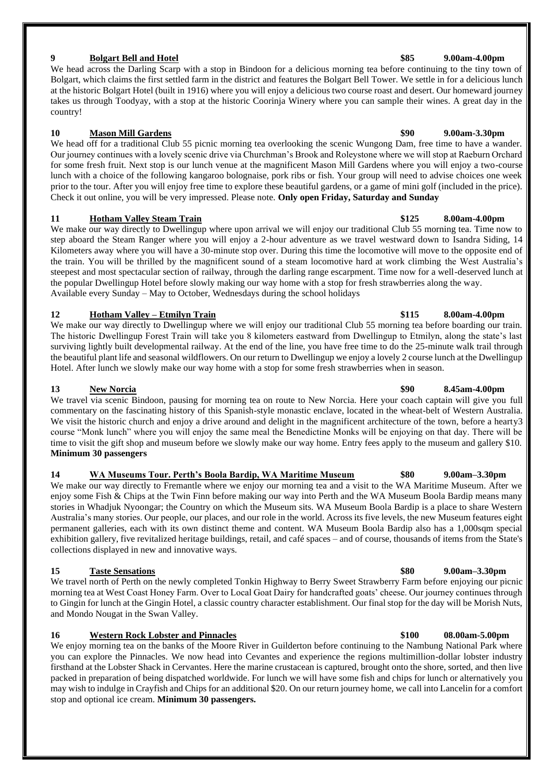### **9 Bolgart Bell and Hotel \$85 9.00am-4.00pm**

We head across the Darling Scarp with a stop in Bindoon for a delicious morning tea before continuing to the tiny town of Bolgart, which claims the first settled farm in the district and features the Bolgart Bell Tower. We settle in for a delicious lunch at the historic Bolgart Hotel (built in 1916) where you will enjoy a delicious two course roast and desert. Our homeward journey takes us through Toodyay, with a stop at the historic Coorinja Winery where you can sample their wines. A great day in the country!

### **10 Mason Mill Gardens \$90 9.00am-3.30pm**

We head off for a traditional Club 55 picnic morning tea overlooking the scenic Wungong Dam, free time to have a wander. Our journey continues with a lovely scenic drive via Churchman's Brook and Roleystone where we will stop at Raeburn Orchard for some fresh fruit. Next stop is our lunch venue at the magnificent Mason Mill Gardens where you will enjoy a two-course lunch with a choice of the following kangaroo bolognaise, pork ribs or fish. Your group will need to advise choices one week prior to the tour. After you will enjoy free time to explore these beautiful gardens, or a game of mini golf (included in the price). Check it out online, you will be very impressed. Please note. **Only open Friday, Saturday and Sunday**

### **11 Hotham Valley Steam Train \$125 8.00am-4.00pm**

We make our way directly to Dwellingup where upon arrival we will enjoy our traditional Club 55 morning tea. Time now to step aboard the Steam Ranger where you will enjoy a 2-hour adventure as we travel westward down to Isandra Siding, 14 Kilometers away where you will have a 30-minute stop over. During this time the locomotive will move to the opposite end of the train. You will be thrilled by the magnificent sound of a steam locomotive hard at work climbing the West Australia's steepest and most spectacular section of railway, through the darling range escarpment. Time now for a well-deserved lunch at the popular Dwellingup Hotel before slowly making our way home with a stop for fresh strawberries along the way. Available every Sunday – May to October, Wednesdays during the school holidays

### **12 Hotham Valley – Etmilyn Train \$115 8.00am-4.00pm**

We make our way directly to Dwellingup where we will enjoy our traditional Club 55 morning tea before boarding our train. The historic Dwellingup Forest Train will take you 8 kilometers eastward from Dwellingup to Etmilyn, along the state's last surviving lightly built developmental railway. At the end of the line, you have free time to do the 25-minute walk trail through the beautiful plant life and seasonal wildflowers. On our return to Dwellingup we enjoy a lovely 2 course lunch at the Dwellingup Hotel. After lunch we slowly make our way home with a stop for some fresh strawberries when in season.

### **13 New Norcia \$90 8.45am-4.00pm** We travel via scenic Bindoon, pausing for morning tea on route to New Norcia. Here your coach captain will give you full commentary on the fascinating history of this Spanish-style monastic enclave, located in the wheat-belt of Western Australia. We visit the historic church and enjoy a drive around and delight in the magnificent architecture of the town, before a hearty3 course "Monk lunch" where you will enjoy the same meal the Benedictine Monks will be enjoying on that day. There will be time to visit the gift shop and museum before we slowly make our way home. Entry fees apply to the museum and gallery \$10. **Minimum 30 passengers**

### **14 WA Museums Tour. Perth's Boola Bardip, WA Maritime Museum \$80 9.00am–3.30pm**

We make our way directly to Fremantle where we enjoy our morning tea and a visit to the WA Maritime Museum. After we enjoy some Fish & Chips at the Twin Finn before making our way into Perth and the WA Museum Boola Bardip means many stories in Whadjuk Nyoongar; the Country on which the Museum sits. WA Museum Boola Bardip is a place to share Western Australia's many stories. Our people, our places, and our role in the world. Across its five levels, the new Museum features eight permanent galleries, each with its own distinct theme and content. WA Museum Boola Bardip also has a 1,000sqm special exhibition gallery, five revitalized heritage buildings, retail, and café spaces – and of course, thousands of items from the State's collections displayed in new and innovative ways.

### **15 Taste Sensations \$80 9.00am–3.30pm**

We travel north of Perth on the newly completed Tonkin Highway to Berry Sweet Strawberry Farm before enjoying our picnic morning tea at West Coast Honey Farm. Over to Local Goat Dairy for handcrafted goats' cheese. Our journey continues through to Gingin for lunch at the Gingin Hotel, a classic country character establishment. Our final stop for the day will be Morish Nuts, and Mondo Nougat in the Swan Valley.

### **16 Western Rock Lobster and Pinnacles \$100 08.00am-5.00pm**

We enjoy morning tea on the banks of the Moore River in Guilderton before continuing to the Nambung National Park where you can explore the Pinnacles. We now head into Cevantes and experience the regions multimillion-dollar lobster industry firsthand at the Lobster Shack in Cervantes. Here the marine crustacean is captured, brought onto the shore, sorted, and then live packed in preparation of being dispatched worldwide. For lunch we will have some fish and chips for lunch or alternatively you may wish to indulge in Crayfish and Chips for an additional \$20. On our return journey home, we call into Lancelin for a comfort stop and optional ice cream. **Minimum 30 passengers.**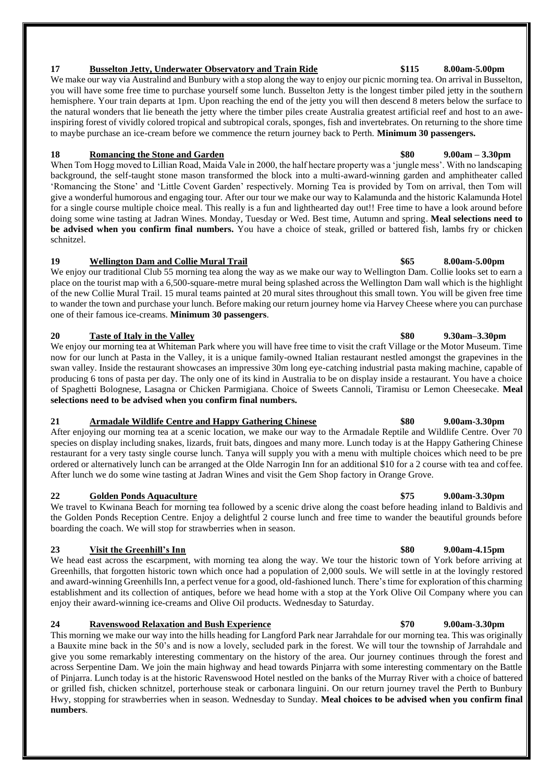We make our way via Australind and Bunbury with a stop along the way to enjoy our picnic morning tea. On arrival in Busselton, you will have some free time to purchase yourself some lunch. Busselton Jetty is the longest timber piled jetty in the southern hemisphere. Your train departs at 1pm. Upon reaching the end of the jetty you will then descend 8 meters below the surface to the natural wonders that lie beneath the jetty where the timber piles create Australia greatest artificial reef and host to an aweinspiring forest of vividly colored tropical and subtropical corals, sponges, fish and invertebrates. On returning to the shore time to maybe purchase an ice-cream before we commence the return journey back to Perth. **Minimum 30 passengers.**

### **18 Romancing the Stone and Garden \$80 9.00am – 3.30pm**

When Tom Hogg moved to Lillian Road, Maida Vale in 2000, the half hectare property was a 'jungle mess'. With no landscaping background, the self-taught stone mason transformed the block into a multi-award-winning garden and amphitheater called 'Romancing the Stone' and 'Little Covent Garden' respectively. Morning Tea is provided by Tom on arrival, then Tom will give a wonderful humorous and engaging tour. After our tour we make our way to Kalamunda and the historic Kalamunda Hotel for a single course multiple choice meal. This really is a fun and lighthearted day out!! Free time to have a look around before doing some wine tasting at Jadran Wines. Monday, Tuesday or Wed. Best time, Autumn and spring. **Meal selections need to be advised when you confirm final numbers.** You have a choice of steak, grilled or battered fish, lambs fry or chicken schnitzel.

### **19 Wellington Dam and Collie Mural Trail \$65 8.00am-5.00pm**

We enjoy our traditional Club 55 morning tea along the way as we make our way to Wellington Dam. Collie looks set to earn a place on the tourist map with a 6,500-square-metre mural being splashed across the Wellington Dam wall which is the highlight of the new Collie Mural Trail. 15 mural teams painted at 20 mural sites throughout this small town. You will be given free time to wander the town and purchase your lunch. Before making our return journey home via Harvey Cheese where you can purchase one of their famous ice-creams. **Minimum 30 passengers**.

### **20 Taste of Italy in the Valley \$80 9.30am–3.30pm**

We enjoy our morning tea at Whiteman Park where you will have free time to visit the craft Village or the Motor Museum. Time now for our lunch at Pasta in the Valley, it is a unique family-owned Italian restaurant nestled amongst the grapevines in the swan valley. Inside the restaurant showcases an impressive 30m long eye-catching industrial pasta making machine, capable of producing 6 tons of pasta per day. The only one of its kind in Australia to be on display inside a restaurant. You have a choice of Spaghetti Bolognese, Lasagna or Chicken Parmigiana. Choice of Sweets Cannoli, Tiramisu or Lemon Cheesecake. **Meal selections need to be advised when you confirm final numbers.** 

### **21 Armadale Wildlife Centre and Happy Gathering Chinese \$80 9.00am-3.30pm**

After enjoying our morning tea at a scenic location, we make our way to the Armadale Reptile and Wildlife Centre. Over 70 species on display including snakes, lizards, fruit bats, dingoes and many more. Lunch today is at the Happy Gathering Chinese restaurant for a very tasty single course lunch. Tanya will supply you with a menu with multiple choices which need to be pre ordered or alternatively lunch can be arranged at the Olde Narrogin Inn for an additional \$10 for a 2 course with tea and coffee. After lunch we do some wine tasting at Jadran Wines and visit the Gem Shop factory in Orange Grove.

### **22 Golden Ponds Aquaculture \$75 9.00am-3.30pm**

We travel to Kwinana Beach for morning tea followed by a scenic drive along the coast before heading inland to Baldivis and the Golden Ponds Reception Centre. Enjoy a delightful 2 course lunch and free time to wander the beautiful grounds before boarding the coach. We will stop for strawberries when in season.

### **23 Visit the Greenhill's Inn \$80 9.00am-4.15pm**

We head east across the escarpment, with morning tea along the way. We tour the historic town of York before arriving at Greenhills, that forgotten historic town which once had a population of 2,000 souls. We will settle in at the lovingly restored and award-winning Greenhills Inn, a perfect venue for a good, old-fashioned lunch. There's time for exploration of this charming establishment and its collection of antiques, before we head home with a stop at the York Olive Oil Company where you can enjoy their award-winning ice-creams and Olive Oil products. Wednesday to Saturday.

### **24 Ravenswood Relaxation and Bush Experience \$70 9.00am-3.30pm**

This morning we make our way into the hills heading for Langford Park near Jarrahdale for our morning tea. This was originally a Bauxite mine back in the 50's and is now a lovely, secluded park in the forest. We will tour the township of Jarrahdale and give you some remarkably interesting commentary on the history of the area. Our journey continues through the forest and across Serpentine Dam. We join the main highway and head towards Pinjarra with some interesting commentary on the Battle of Pinjarra. Lunch today is at the historic Ravenswood Hotel nestled on the banks of the Murray River with a choice of battered or grilled fish, chicken schnitzel, porterhouse steak or carbonara linguini. On our return journey travel the Perth to Bunbury Hwy, stopping for strawberries when in season. Wednesday to Sunday. **Meal choices to be advised when you confirm final numbers**.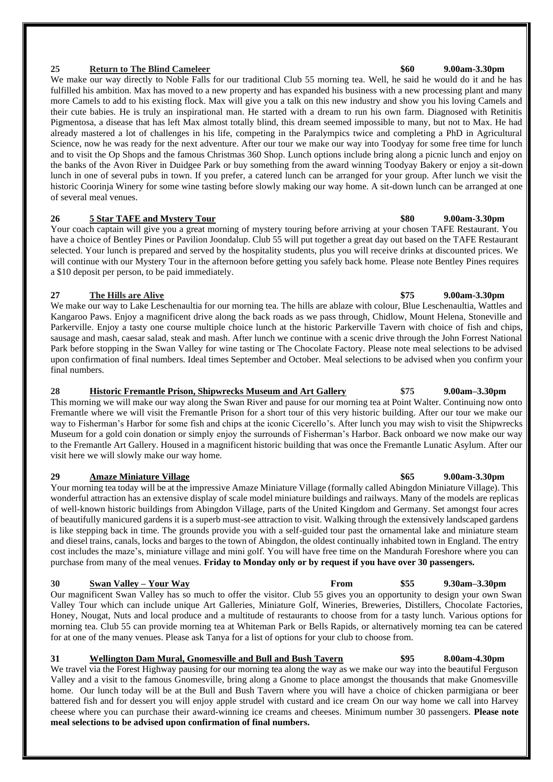### **25 Return to The Blind Cameleer \$60 9.00am-3.30pm**

We make our way directly to Noble Falls for our traditional Club 55 morning tea. Well, he said he would do it and he has fulfilled his ambition. Max has moved to a new property and has expanded his business with a new processing plant and many more Camels to add to his existing flock. Max will give you a talk on this new industry and show you his loving Camels and their cute babies. He is truly an inspirational man. He started with a dream to run his own farm. Diagnosed with Retinitis Pigmentosa, a disease that has left Max almost totally blind, this dream seemed impossible to many, but not to Max. He had already mastered a lot of challenges in his life, competing in the Paralympics twice and completing a PhD in Agricultural Science, now he was ready for the next adventure. After our tour we make our way into Toodyay for some free time for lunch and to visit the Op Shops and the famous Christmas 360 Shop. Lunch options include bring along a picnic lunch and enjoy on the banks of the Avon River in Duidgee Park or buy something from the award winning Toodyay Bakery or enjoy a sit-down lunch in one of several pubs in town. If you prefer, a catered lunch can be arranged for your group. After lunch we visit the historic Coorinja Winery for some wine tasting before slowly making our way home. A sit-down lunch can be arranged at one of several meal venues.

### **26 5 Star TAFE and Mystery Tour \$80 9.00am-3.30pm**

Your coach captain will give you a great morning of mystery touring before arriving at your chosen TAFE Restaurant. You have a choice of Bentley Pines or Pavilion Joondalup. Club 55 will put together a great day out based on the TAFE Restaurant selected. Your lunch is prepared and served by the hospitality students, plus you will receive drinks at discounted prices. We will continue with our Mystery Tour in the afternoon before getting you safely back home. Please note Bentley Pines requires a \$10 deposit per person, to be paid immediately.

### **27 The Hills are Alive \$75 9.00am-3.30pm**

We make our way to Lake Leschenaultia for our morning tea. The hills are ablaze with colour, Blue Leschenaultia, Wattles and Kangaroo Paws. Enjoy a magnificent drive along the back roads as we pass through, Chidlow, Mount Helena, Stoneville and Parkerville. Enjoy a tasty one course multiple choice lunch at the historic Parkerville Tavern with choice of fish and chips, sausage and mash, caesar salad, steak and mash. After lunch we continue with a scenic drive through the John Forrest National Park before stopping in the Swan Valley for wine tasting or The Chocolate Factory. Please note meal selections to be advised upon confirmation of final numbers. Ideal times September and October. Meal selections to be advised when you confirm your final numbers.

### **28 Historic Fremantle Prison, Shipwrecks Museum and Art Gallery \$75 9.00am–3.30pm**

This morning we will make our way along the Swan River and pause for our morning tea at Point Walter. Continuing now onto Fremantle where we will visit the Fremantle Prison for a short tour of this very historic building. After our tour we make our way to Fisherman's Harbor for some fish and chips at the iconic Cicerello's. After lunch you may wish to visit the Shipwrecks Museum for a gold coin donation or simply enjoy the surrounds of Fisherman's Harbor. Back onboard we now make our way to the Fremantle Art Gallery. Housed in a magnificent historic building that was once the Fremantle Lunatic Asylum. After our visit here we will slowly make our way home.

### **29 Amaze Miniature Village \$65 9.00am-3.30pm**

Your morning tea today will be at the impressive Amaze Miniature Village (formally called Abingdon Miniature Village). This wonderful attraction has an extensive display of scale model miniature buildings and railways. Many of the models are replicas of well-known historic buildings from Abingdon Village, parts of the United Kingdom and Germany. Set amongst four acres of beautifully manicured gardens it is a superb must-see attraction to visit. Walking through the extensively landscaped gardens is like stepping back in time. The grounds provide you with a self-guided tour past the ornamental lake and miniature steam and diesel trains, canals, locks and barges to the town of Abingdon, the oldest continually inhabited town in England. The entry cost includes the maze's, miniature village and mini golf. You will have free time on the Mandurah Foreshore where you can purchase from many of the meal venues. **Friday to Monday only or by request if you have over 30 passengers.** 

### **30 Swan Valley – Your Way From \$55 9.30am–3.30pm**

Our magnificent Swan Valley has so much to offer the visitor. Club 55 gives you an opportunity to design your own Swan Valley Tour which can include unique Art Galleries, Miniature Golf, Wineries, Breweries, Distillers, Chocolate Factories, Honey, Nougat, Nuts and local produce and a multitude of restaurants to choose from for a tasty lunch. Various options for morning tea. Club 55 can provide morning tea at Whiteman Park or Bells Rapids, or alternatively morning tea can be catered for at one of the many venues. Please ask Tanya for a list of options for your club to choose from.

### **31 Wellington Dam Mural, Gnomesville and Bull and Bush Tavern \$95 8.00am-4.30pm**

We travel via the Forest Highway pausing for our morning tea along the way as we make our way into the beautiful Ferguson Valley and a visit to the famous Gnomesville, bring along a Gnome to place amongst the thousands that make Gnomesville home. Our lunch today will be at the Bull and Bush Tavern where you will have a choice of chicken parmigiana or beer battered fish and for dessert you will enjoy apple strudel with custard and ice cream On our way home we call into Harvey cheese where you can purchase their award-winning ice creams and cheeses. Minimum number 30 passengers. **Please note meal selections to be advised upon confirmation of final numbers.**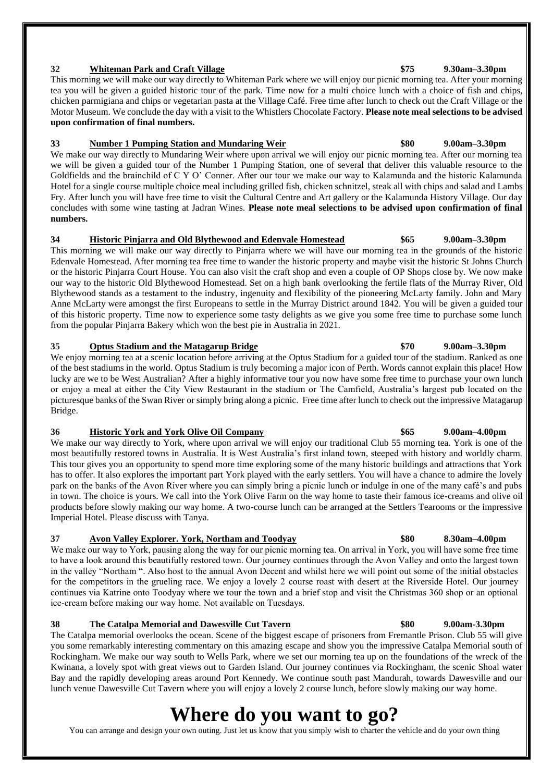### **32 Whiteman Park and Craft Village \$75 9.30am–3.30pm**

This morning we will make our way directly to Whiteman Park where we will enjoy our picnic morning tea. After your morning tea you will be given a guided historic tour of the park. Time now for a multi choice lunch with a choice of fish and chips, chicken parmigiana and chips or vegetarian pasta at the Village Café. Free time after lunch to check out the Craft Village or the Motor Museum. We conclude the day with a visit to the Whistlers Chocolate Factory. **Please note meal selections to be advised upon confirmation of final numbers.**

### **33 Number 1 Pumping Station and Mundaring Weir \$80 9.00am–3.30pm**

We make our way directly to Mundaring Weir where upon arrival we will enjoy our picnic morning tea. After our morning tea we will be given a guided tour of the Number 1 Pumping Station, one of several that deliver this valuable resource to the Goldfields and the brainchild of C Y O' Conner. After our tour we make our way to Kalamunda and the historic Kalamunda Hotel for a single course multiple choice meal including grilled fish, chicken schnitzel, steak all with chips and salad and Lambs Fry. After lunch you will have free time to visit the Cultural Centre and Art gallery or the Kalamunda History Village. Our day concludes with some wine tasting at Jadran Wines. **Please note meal selections to be advised upon confirmation of final numbers.**

### **34 Historic Pinjarra and Old Blythewood and Edenvale Homestead \$65 9.00am–3.30pm**

This morning we will make our way directly to Pinjarra where we will have our morning tea in the grounds of the historic Edenvale Homestead. After morning tea free time to wander the historic property and maybe visit the historic St Johns Church or the historic Pinjarra Court House. You can also visit the craft shop and even a couple of OP Shops close by. We now make our way to the historic Old Blythewood Homestead. Set on a high bank overlooking the fertile flats of the Murray River, Old Blythewood stands as a testament to the industry, ingenuity and flexibility of the pioneering McLarty family. John and Mary Anne McLarty were amongst the first Europeans to settle in the Murray District around 1842. You will be given a guided tour of this historic property. Time now to experience some tasty delights as we give you some free time to purchase some lunch from the popular Pinjarra Bakery which won the best pie in Australia in 2021.

### **35 Optus Stadium and the Matagarup Bridge \$70 9.00am–3.30pm**

We enjoy morning tea at a scenic location before arriving at the Optus Stadium for a guided tour of the stadium. Ranked as one of the best stadiums in the world. Optus Stadium is truly becoming a major icon of Perth. Words cannot explain this place! How lucky are we to be West Australian? After a highly informative tour you now have some free time to purchase your own lunch or enjoy a meal at either the City View Restaurant in the stadium or The Camfield, Australia's largest pub located on the picturesque banks of the Swan River or simply bring along a picnic. Free time after lunch to check out the impressive Matagarup Bridge.

### **36 Historic York and York Olive Oil Company \$65 9.00am–4.00pm**

We make our way directly to York, where upon arrival we will enjoy our traditional Club 55 morning tea. York is one of the most beautifully restored towns in Australia. It is West Australia's first inland town, steeped with history and worldly charm. This tour gives you an opportunity to spend more time exploring some of the many historic buildings and attractions that York has to offer. It also explores the important part York played with the early settlers. You will have a chance to admire the lovely park on the banks of the Avon River where you can simply bring a picnic lunch or indulge in one of the many café's and pubs in town. The choice is yours. We call into the York Olive Farm on the way home to taste their famous ice-creams and olive oil products before slowly making our way home. A two-course lunch can be arranged at the Settlers Tearooms or the impressive Imperial Hotel. Please discuss with Tanya.

### **37 Avon Valley Explorer. York, Northam and Toodyay \$80 8.30am–4.00pm**

We make our way to York, pausing along the way for our picnic morning tea. On arrival in York, you will have some free time to have a look around this beautifully restored town. Our journey continues through the Avon Valley and onto the largest town in the valley "Northam ". Also host to the annual Avon Decent and whilst here we will point out some of the initial obstacles for the competitors in the grueling race. We enjoy a lovely 2 course roast with desert at the Riverside Hotel. Our journey continues via Katrine onto Toodyay where we tour the town and a brief stop and visit the Christmas 360 shop or an optional ice-cream before making our way home. Not available on Tuesdays.

### **38 The Catalpa Memorial and Dawesville Cut Tavern \$80 9.00am-3.30pm**

The Catalpa memorial overlooks the ocean. Scene of the biggest escape of prisoners from Fremantle Prison. Club 55 will give you some remarkably interesting commentary on this amazing escape and show you the impressive Catalpa Memorial south of Rockingham. We make our way south to Wells Park, where we set our morning tea up on the foundations of the wreck of the Kwinana, a lovely spot with great views out to Garden Island. Our journey continues via Rockingham, the scenic Shoal water Bay and the rapidly developing areas around Port Kennedy. We continue south past Mandurah, towards Dawesville and our lunch venue Dawesville Cut Tavern where you will enjoy a lovely 2 course lunch, before slowly making our way home.

## **Where do you want to go?**

You can arrange and design your own outing. Just let us know that you simply wish to charter the vehicle and do your own thing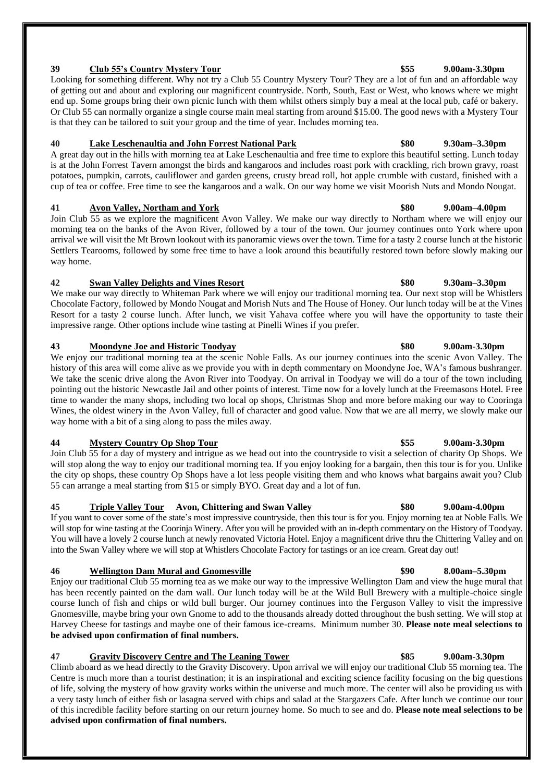Join Club 55 as we explore the magnificent Avon Valley. We make our way directly to Northam where we will enjoy our morning tea on the banks of the Avon River, followed by a tour of the town. Our journey continues onto York where upon arrival we will visit the Mt Brown lookout with its panoramic views over the town. Time for a tasty 2 course lunch at the historic Settlers Tearooms, followed by some free time to have a look around this beautifully restored town before slowly making our way home.

### **42 Swan Valley Delights and Vines Resort \$80 9.30am–3.30pm**

We make our way directly to Whiteman Park where we will enjoy our traditional morning tea. Our next stop will be Whistlers Chocolate Factory, followed by Mondo Nougat and Morish Nuts and The House of Honey. Our lunch today will be at the Vines Resort for a tasty 2 course lunch. After lunch, we visit Yahava coffee where you will have the opportunity to taste their impressive range. Other options include wine tasting at Pinelli Wines if you prefer.

### **43 Moondyne Joe and Historic Toodyay \$80 9.00am-3.30pm**

We enjoy our traditional morning tea at the scenic Noble Falls. As our journey continues into the scenic Avon Valley. The history of this area will come alive as we provide you with in depth commentary on Moondyne Joe, WA's famous bushranger. We take the scenic drive along the Avon River into Toodyay. On arrival in Toodyay we will do a tour of the town including pointing out the historic Newcastle Jail and other points of interest. Time now for a lovely lunch at the Freemasons Hotel. Free time to wander the many shops, including two local op shops, Christmas Shop and more before making our way to Cooringa Wines, the oldest winery in the Avon Valley, full of character and good value. Now that we are all merry, we slowly make our way home with a bit of a sing along to pass the miles away.

### **44 Mystery Country Op Shop Tour \$55 9.00am-3.30pm**

Join Club 55 for a day of mystery and intrigue as we head out into the countryside to visit a selection of charity Op Shops. We will stop along the way to enjoy our traditional morning tea. If you enjoy looking for a bargain, then this tour is for you. Unlike the city op shops, these country Op Shops have a lot less people visiting them and who knows what bargains await you? Club 55 can arrange a meal starting from \$15 or simply BYO. Great day and a lot of fun.

### **45 Triple Valley Tour Avon, Chittering and Swan Valley \$80 9.00am-4.00pm**

If you want to cover some of the state's most impressive countryside, then this tour is for you. Enjoy morning tea at Noble Falls. We will stop for wine tasting at the Coorinja Winery. After you will be provided with an in-depth commentary on the History of Toodyay. You will have a lovely 2 course lunch at newly renovated Victoria Hotel. Enjoy a magnificent drive thru the Chittering Valley and on into the Swan Valley where we will stop at Whistlers Chocolate Factory for tastings or an ice cream. Great day out!

### **46 Wellington Dam Mural and Gnomesville \$90 8.00am–5.30pm**

Enjoy our traditional Club 55 morning tea as we make our way to the impressive Wellington Dam and view the huge mural that has been recently painted on the dam wall. Our lunch today will be at the Wild Bull Brewery with a multiple-choice single course lunch of fish and chips or wild bull burger. Our journey continues into the Ferguson Valley to visit the impressive Gnomesville, maybe bring your own Gnome to add to the thousands already dotted throughout the bush setting. We will stop at Harvey Cheese for tastings and maybe one of their famous ice-creams. Minimum number 30. **Please note meal selections to be advised upon confirmation of final numbers.**

**47 Gravity Discovery Centre and The Leaning Tower \$85 9.00am-3.30pm** Climb aboard as we head directly to the Gravity Discovery. Upon arrival we will enjoy our traditional Club 55 morning tea. The Centre is much more than a tourist destination; it is an inspirational and exciting science facility focusing on the big questions of life, solving the mystery of how gravity works within the universe and much more. The center will also be providing us with a very tasty lunch of either fish or lasagna served with chips and salad at the Stargazers Cafe. After lunch we continue our tour of this incredible facility before starting on our return journey home. So much to see and do. **Please note meal selections to be advised upon confirmation of final numbers.**

### **39 Club 55's Country Mystery Tour \$55 9.00am-3.30pm**

Looking for something different. Why not try a Club 55 Country Mystery Tour? They are a lot of fun and an affordable way of getting out and about and exploring our magnificent countryside. North, South, East or West, who knows where we might end up. Some groups bring their own picnic lunch with them whilst others simply buy a meal at the local pub, café or bakery. Or Club 55 can normally organize a single course main meal starting from around \$15.00. The good news with a Mystery Tour is that they can be tailored to suit your group and the time of year. Includes morning tea.

### **40 Lake Leschenaultia and John Forrest National Park \$80 9.30am–3.30pm** A great day out in the hills with morning tea at Lake Leschenaultia and free time to explore this beautiful setting. Lunch today

is at the John Forrest Tavern amongst the birds and kangaroos and includes roast pork with crackling, rich brown gravy, roast potatoes, pumpkin, carrots, cauliflower and garden greens, crusty bread roll, hot apple crumble with custard, finished with a cup of tea or coffee. Free time to see the kangaroos and a walk. On our way home we visit Moorish Nuts and Mondo Nougat. **41 Avon Valley, Northam and York \$80 9.00am–4.00pm**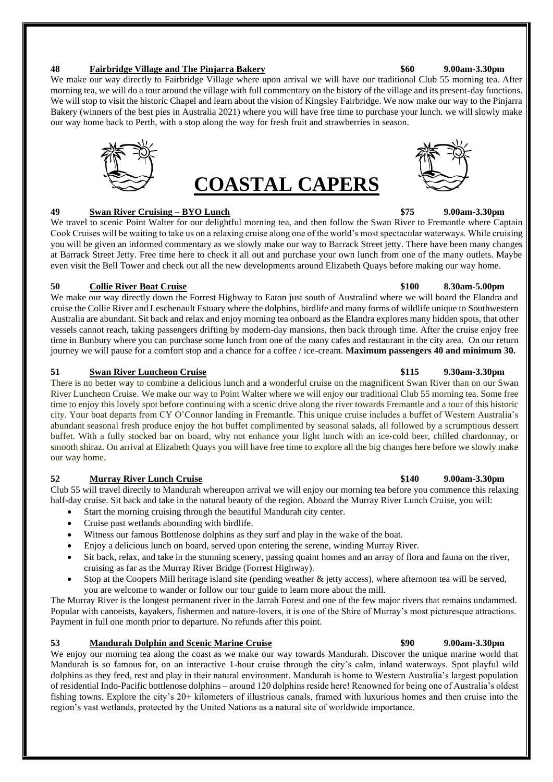### **48 Fairbridge Village and The Pinjarra Bakery \$60 9.00am-3.30pm**

We make our way directly to Fairbridge Village where upon arrival we will have our traditional Club 55 morning tea. After morning tea, we will do a tour around the village with full commentary on the history of the village and its present-day functions. We will stop to visit the historic Chapel and learn about the vision of Kingsley Fairbridge. We now make our way to the Pinjarra Bakery (winners of the best pies in Australia 2021) where you will have free time to purchase your lunch. we will slowly make our way home back to Perth, with a stop along the way for fresh fruit and strawberries in season.



We travel to scenic Point Walter for our delightful morning tea, and then follow the Swan River to Fremantle where Captain Cook Cruises will be waiting to take us on a relaxing cruise along one of the world's most spectacular waterways. While cruising you will be given an informed commentary as we slowly make our way to Barrack Street jetty. There have been many changes at Barrack Street Jetty. Free time here to check it all out and purchase your own lunch from one of the many outlets. Maybe even visit the Bell Tower and check out all the new developments around Elizabeth Quays before making our way home.

### **50 Collie River Boat Cruise \$100 8.30am-5.00pm**

We make our way directly down the Forrest Highway to Eaton just south of Australind where we will board the Elandra and cruise the Collie River and Leschenault Estuary where the dolphins, birdlife and many forms of wildlife unique to Southwestern Australia are abundant. Sit back and relax and enjoy morning tea onboard as the Elandra explores many hidden spots, that other vessels cannot reach, taking passengers drifting by modern-day mansions, then back through time. After the cruise enjoy free time in Bunbury where you can purchase some lunch from one of the many cafes and restaurant in the city area. On our return journey we will pause for a comfort stop and a chance for a coffee / ice-cream. **Maximum passengers 40 and minimum 30.**

### **51 Swan River Luncheon Cruise \$115 9.30am-3.30pm**

There is no better way to combine a delicious lunch and a wonderful cruise on the magnificent Swan River than on our Swan River Luncheon Cruise. We make our way to Point Walter where we will enjoy our traditional Club 55 morning tea. Some free time to enjoy this lovely spot before continuing with a scenic drive along the river towards Fremantle and a tour of this historic city. Your boat departs from CY O'Connor landing in Fremantle. This unique cruise includes a buffet of Western Australia's abundant seasonal fresh produce enjoy the hot buffet complimented by seasonal salads, all followed by a scrumptious dessert buffet. With a fully stocked bar on board, why not enhance your light lunch with an ice-cold beer, chilled chardonnay, or smooth shiraz. On arrival at Elizabeth Quays you will have free time to explore all the big changes here before we slowly make our way home.

### **52 Murray River Lunch Cruise \$140 9.00am-3.30pm**

Club 55 will travel directly to Mandurah whereupon arrival we will enjoy our morning tea before you commence this relaxing half-day cruise. Sit back and take in the natural beauty of the region. Aboard the Murray River Lunch Cruise, you will:

- Start the morning cruising through the beautiful Mandurah city center.
- Cruise past wetlands abounding with birdlife.
- Witness our famous Bottlenose dolphins as they surf and play in the wake of the boat.
- Enjoy a delicious lunch on board, served upon entering the serene, winding Murray River.
- Sit back, relax, and take in the stunning scenery, passing quaint homes and an array of flora and fauna on the river, cruising as far as the Murray River Bridge (Forrest Highway).
- Stop at the Coopers Mill heritage island site (pending weather  $\&$  jetty access), where afternoon tea will be served, you are welcome to wander or follow our tour guide to learn more about the mill.

The Murray River is the longest permanent river in the Jarrah Forest and one of the few major rivers that remains undammed. Popular with canoeists, kayakers, fishermen and nature-lovers, it is one of the Shire of Murray's most picturesque attractions. Payment in full one month prior to departure. No refunds after this point.

### **53 Mandurah Dolphin and Scenic Marine Cruise \$90 9.00am-3.30pm**

We enjoy our morning tea along the coast as we make our way towards Mandurah. Discover the unique marine world that Mandurah is so famous for, on an interactive 1-hour cruise through the city's calm, inland waterways. Spot playful wild dolphins as they feed, rest and play in their natural environment. Mandurah is home to Western Australia's largest population of residential Indo-Pacific bottlenose dolphins – around 120 dolphins reside here! Renowned for being one of Australia's oldest fishing towns. Explore the city's 20+ kilometers of illustrious canals, framed with luxurious homes and then cruise into the region's vast wetlands, protected by the United Nations as a natural site of worldwide importance.



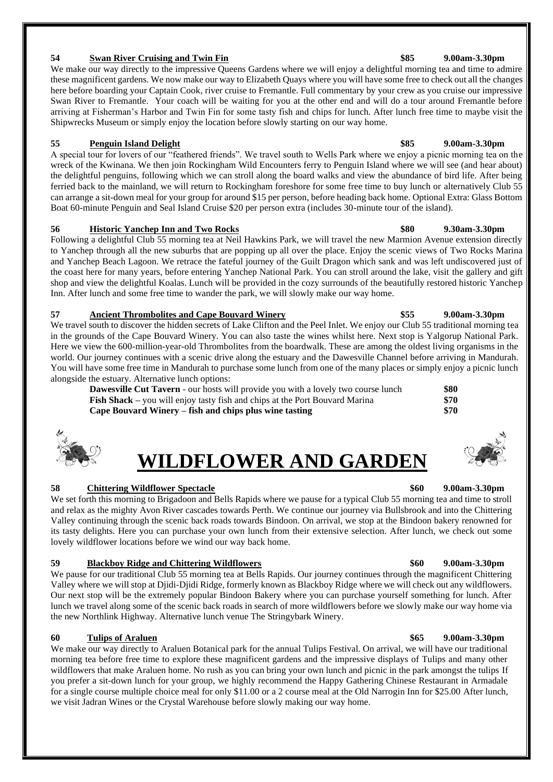### **54 Swan River Cruising and Twin Fin \$85 9.00am-3.30pm**

We make our way directly to the impressive Queens Gardens where we will enjoy a delightful morning tea and time to admire these magnificent gardens. We now make our way to Elizabeth Quays where you will have some free to check out all the changes here before boarding your Captain Cook, river cruise to Fremantle. Full commentary by your crew as you cruise our impressive Swan River to Fremantle. Your coach will be waiting for you at the other end and will do a tour around Fremantle before arriving at Fisherman's Harbor and Twin Fin for some tasty fish and chips for lunch. After lunch free time to maybe visit the Shipwrecks Museum or simply enjoy the location before slowly starting on our way home.

### **55 Penguin Island Delight \$85 9.00am-3.30pm**

A special tour for lovers of our "feathered friends". We travel south to Wells Park where we enjoy a picnic morning tea on the wreck of the Kwinana. We then join Rockingham Wild Encounters ferry to Penguin Island where we will see (and hear about) the delightful penguins, following which we can stroll along the board walks and view the abundance of bird life. After being ferried back to the mainland, we will return to Rockingham foreshore for some free time to buy lunch or alternatively Club 55 can arrange a sit-down meal for your group for around \$15 per person, before heading back home. Optional Extra: Glass Bottom Boat 60-minute Penguin and Seal Island Cruise \$20 per person extra (includes 30-minute tour of the island).

### **56 Historic Yanchep Inn and Two Rocks \$80 9.30am-3.30pm**

Following a delightful Club 55 morning tea at Neil Hawkins Park, we will travel the new Marmion Avenue extension directly to Yanchep through all the new suburbs that are popping up all over the place. Enjoy the scenic views of Two Rocks Marina and Yanchep Beach Lagoon. We retrace the fateful journey of the Guilt Dragon which sank and was left undiscovered just of the coast here for many years, before entering Yanchep National Park. You can stroll around the lake, visit the gallery and gift shop and view the delightful Koalas. Lunch will be provided in the cozy surrounds of the beautifully restored historic Yanchep Inn. After lunch and some free time to wander the park, we will slowly make our way home.

### **57 Ancient Thrombolites and Cape Bouvard Winery \$55 9.00am-3.30pm**

We travel south to discover the hidden secrets of Lake Clifton and the Peel Inlet. We enjoy our Club 55 traditional morning tea in the grounds of the Cape Bouvard Winery. You can also taste the wines whilst here. Next stop is Yalgorup National Park. Here we view the 600-million-year-old Thrombolites from the boardwalk. These are among the oldest living organisms in the world. Our journey continues with a scenic drive along the estuary and the Dawesville Channel before arriving in Mandurah. You will have some free time in Mandurah to purchase some lunch from one of the many places or simply enjoy a picnic lunch alongside the estuary. Alternative lunch options:

**Dawesville Cut Tavern** - our hosts will provide you with a lovely two course lunch **\$80 Fish Shack** – you will enjoy tasty fish and chips at the Port Bouvard Marina **\$70 Cape Bouvard Winery – fish and chips plus wine tasting \$70**

# **WILDFLOWER AND GARDEN**

### **58 Chittering Wildflower Spectacle \$60 9.00am-3.30pm**

We set forth this morning to Brigadoon and Bells Rapids where we pause for a typical Club 55 morning tea and time to stroll and relax as the mighty Avon River cascades towards Perth. We continue our journey via Bullsbrook and into the Chittering Valley continuing through the scenic back roads towards Bindoon. On arrival, we stop at the Bindoon bakery renowned for its tasty delights. Here you can purchase your own lunch from their extensive selection. After lunch, we check out some lovely wildflower locations before we wind our way back home.

### **59 Blackboy Ridge and Chittering Wildflowers \$60 9.00am-3.30pm**

We pause for our traditional Club 55 morning tea at Bells Rapids. Our journey continues through the magnificent Chittering Valley where we will stop at Djidi-Djidi Ridge, formerly known as Blackboy Ridge where we will check out any wildflowers. Our next stop will be the extremely popular Bindoon Bakery where you can purchase yourself something for lunch. After lunch we travel along some of the scenic back roads in search of more wildflowers before we slowly make our way home via the new Northlink Highway. Alternative lunch venue The Stringybark Winery.

### **60 Tulips of Araluen \$65 9.00am-3.30pm**

We make our way directly to Araluen Botanical park for the annual Tulips Festival. On arrival, we will have our traditional morning tea before free time to explore these magnificent gardens and the impressive displays of Tulips and many other wildflowers that make Araluen home. No rush as you can bring your own lunch and picnic in the park amongst the tulips If you prefer a sit-down lunch for your group, we highly recommend the Happy Gathering Chinese Restaurant in Armadale for a single course multiple choice meal for only \$11.00 or a 2 course meal at the Old Narrogin Inn for \$25.00 After lunch, we visit Jadran Wines or the Crystal Warehouse before slowly making our way home.





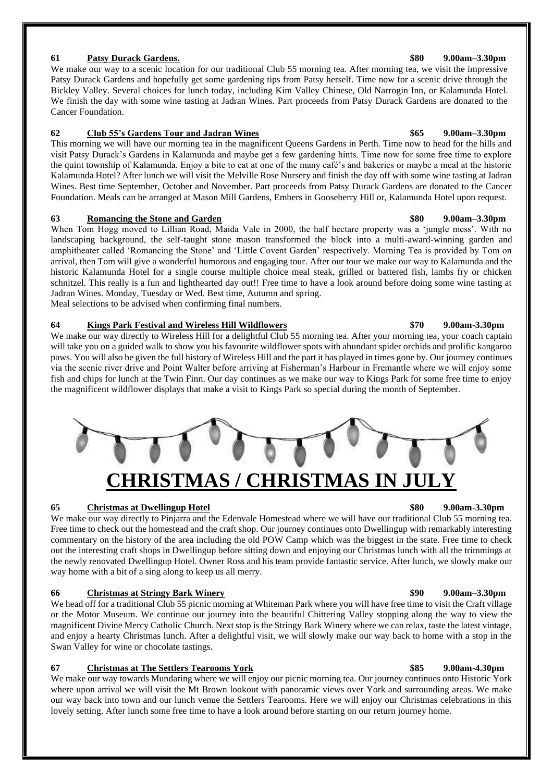### **61 Patsy Durack Gardens. \$80 9.00am–3.30pm**

We make our way to a scenic location for our traditional Club 55 morning tea. After morning tea, we visit the impressive Patsy Durack Gardens and hopefully get some gardening tips from Patsy herself. Time now for a scenic drive through the Bickley Valley. Several choices for lunch today, including Kim Valley Chinese, Old Narrogin Inn, or Kalamunda Hotel. We finish the day with some wine tasting at Jadran Wines. Part proceeds from Patsy Durack Gardens are donated to the Cancer Foundation.

### **62 Club 55's Gardens Tour and Jadran Wines \$65 9.00am–3.30pm**

This morning we will have our morning tea in the magnificent Queens Gardens in Perth. Time now to head for the hills and visit Patsy Durack's Gardens in Kalamunda and maybe get a few gardening hints. Time now for some free time to explore the quint township of Kalamunda. Enjoy a bite to eat at one of the many café's and bakeries or maybe a meal at the historic Kalamunda Hotel? After lunch we will visit the Melville Rose Nursery and finish the day off with some wine tasting at Jadran Wines. Best time September, October and November. Part proceeds from Patsy Durack Gardens are donated to the Cancer Foundation. Meals can be arranged at Mason Mill Gardens, Embers in Gooseberry Hill or, Kalamunda Hotel upon request.

### **63 Romancing the Stone and Garden \$80 9.00am–3.30pm**

When Tom Hogg moved to Lillian Road, Maida Vale in 2000, the half hectare property was a 'jungle mess'. With no landscaping background, the self-taught stone mason transformed the block into a multi-award-winning garden and amphitheater called 'Romancing the Stone' and 'Little Covent Garden' respectively. Morning Tea is provided by Tom on arrival, then Tom will give a wonderful humorous and engaging tour. After our tour we make our way to Kalamunda and the historic Kalamunda Hotel for a single course multiple choice meal steak, grilled or battered fish, lambs fry or chicken schnitzel. This really is a fun and lighthearted day out!! Free time to have a look around before doing some wine tasting at Jadran Wines. Monday, Tuesday or Wed. Best time, Autumn and spring. Meal selections to be advised when confirming final numbers.

### **64 Kings Park Festival and Wireless Hill Wildflowers \$70 9.00am-3.30pm**

We make our way directly to Wireless Hill for a delightful Club 55 morning tea. After your morning tea, your coach captain will take you on a guided walk to show you his favourite wildflower spots with abundant spider orchids and prolific kangaroo paws. You will also be given the full history of Wireless Hill and the part it has played in times gone by. Our journey continues via the scenic river drive and Point Walter before arriving at Fisherman's Harbour in Fremantle where we will enjoy some fish and chips for lunch at the Twin Finn. Our day continues as we make our way to Kings Park for some free time to enjoy the magnificent wildflower displays that make a visit to Kings Park so special during the month of September.



### **65 Christmas at Dwellingup Hotel \$80 9.00am-3.30pm**

We make our way directly to Pinjarra and the Edenvale Homestead where we will have our traditional Club 55 morning tea. Free time to check out the homestead and the craft shop. Our journey continues onto Dwellingup with remarkably interesting commentary on the history of the area including the old POW Camp which was the biggest in the state. Free time to check out the interesting craft shops in Dwellingup before sitting down and enjoying our Christmas lunch with all the trimmings at the newly renovated Dwellingup Hotel. Owner Ross and his team provide fantastic service. After lunch, we slowly make our way home with a bit of a sing along to keep us all merry.

### **66 Christmas at Stringy Bark Winery \$90 9.00am–3.30pm**

We head off for a traditional Club 55 picnic morning at Whiteman Park where you will have free time to visit the Craft village or the Motor Museum. We continue our journey into the beautiful Chittering Valley stopping along the way to view the magnificent Divine Mercy Catholic Church. Next stop is the Stringy Bark Winery where we can relax, taste the latest vintage, and enjoy a hearty Christmas lunch. After a delightful visit, we will slowly make our way back to home with a stop in the Swan Valley for wine or chocolate tastings.

### **67 Christmas at The Settlers Tearooms York \$85 9.00am-4.30pm**

We make our way towards Mundaring where we will enjoy our picnic morning tea. Our journey continues onto Historic York where upon arrival we will visit the Mt Brown lookout with panoramic views over York and surrounding areas. We make our way back into town and our lunch venue the Settlers Tearooms. Here we will enjoy our Christmas celebrations in this lovely setting. After lunch some free time to have a look around before starting on our return journey home.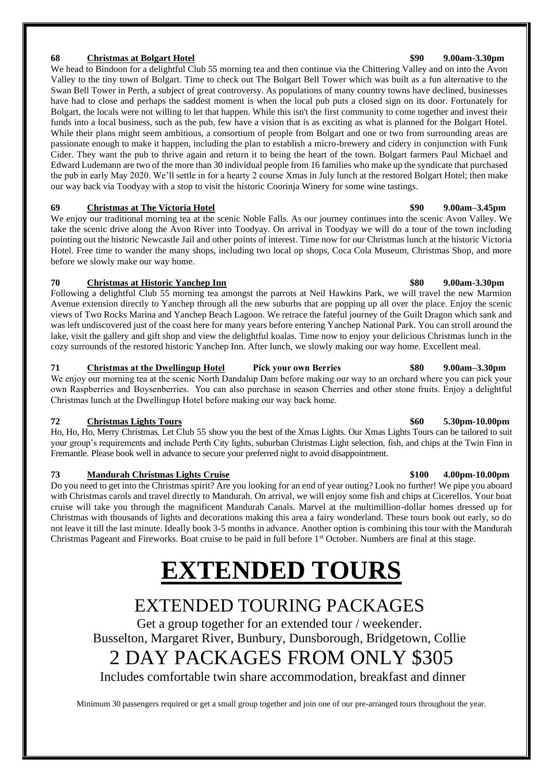### **68 Christmas at Bolgart Hotel \$90 9.00am-3.30pm**

We head to Bindoon for a delightful Club 55 morning tea and then continue via the Chittering Valley and on into the Avon Valley to the tiny town of Bolgart. Time to check out The Bolgart Bell Tower which was built as a fun alternative to the Swan Bell Tower in Perth, a subject of great controversy. As populations of many country towns have declined, businesses have had to close and perhaps the saddest moment is when the local pub puts a closed sign on its door. Fortunately for Bolgart, the locals were not willing to let that happen. While this isn't the first community to come together and invest their funds into a local business, such as the pub, few have a vision that is as exciting as what is planned for the Bolgart Hotel. While their plans might seem ambitious, a consortium of people from Bolgart and one or two from surrounding areas are passionate enough to make it happen, including the plan to establish a micro-brewery and cidery in conjunction with Funk Cider. They want the pub to thrive again and return it to being the heart of the town. Bolgart farmers Paul Michael and Edward Ludemann are two of the more than 30 individual people from 16 families who make up the syndicate that purchased the pub in early May 2020. We'll settle in for a hearty 2 course Xmas in July lunch at the restored Bolgart Hotel; then make our way back via Toodyay with a stop to visit the historic Coorinja Winery for some wine tastings.

### **69 Christmas at The Victoria Hotel \$90 9.00am–3.45pm**

We enjoy our traditional morning tea at the scenic Noble Falls. As our journey continues into the scenic Avon Valley. We take the scenic drive along the Avon River into Toodyay. On arrival in Toodyay we will do a tour of the town including pointing out the historic Newcastle Jail and other points of interest. Time now for our Christmas lunch at the historic Victoria Hotel. Free time to wander the many shops, including two local op shops, Coca Cola Museum, Christmas Shop, and more before we slowly make our way home.

### **70 Christmas at Historic Yanchep Inn \$80 9.00am-3.30pm**

Following a delightful Club 55 morning tea amongst the parrots at Neil Hawkins Park, we will travel the new Marmion Avenue extension directly to Yanchep through all the new suburbs that are popping up all over the place. Enjoy the scenic views of Two Rocks Marina and Yanchep Beach Lagoon. We retrace the fateful journey of the Guilt Dragon which sank and was left undiscovered just of the coast here for many years before entering Yanchep National Park. You can stroll around the lake, visit the gallery and gift shop and view the delightful koalas. Time now to enjoy your delicious Christmas lunch in the cozy surrounds of the restored historic Yanchep Inn. After lunch, we slowly making our way home. Excellent meal.

**71 Christmas at the Dwellingup Hotel Pick your own Berries \$80 9.00am–3.30pm** We enjoy our morning tea at the scenic North Dandalup Dam before making our way to an orchard where you can pick your own Raspberries and Boysenberries. You can also purchase in season Cherries and other stone fruits. Enjoy a delightful Christmas lunch at the Dwellingup Hotel before making our way back home.

### **72 Christmas Lights Tours \$60 5.30pm-10.00pm**

Ho, Ho, Ho, Merry Christmas. Let Club 55 show you the best of the Xmas Lights. Our Xmas Lights Tours can be tailored to suit your group's requirements and include Perth City lights, suburban Christmas Light selection, fish, and chips at the Twin Finn in Fremantle. Please book well in advance to secure your preferred night to avoid disappointment.

### **73 Mandurah Christmas Lights Cruise \$100 4.00pm-10.00pm**

Do you need to get into the Christmas spirit? Are you looking for an end of year outing? Look no further! We pipe you aboard with Christmas carols and travel directly to Mandurah. On arrival, we will enjoy some fish and chips at Cicerellos. Your boat cruise will take you through the magnificent Mandurah Canals. Marvel at the multimillion-dollar homes dressed up for Christmas with thousands of lights and decorations making this area a fairy wonderland. These tours book out early, so do not leave it till the last minute. Ideally book 3-5 months in advance. Another option is combining this tour with the Mandurah Christmas Pageant and Fireworks. Boat cruise to be paid in full before 1<sup>st</sup> October. Numbers are final at this stage.

# **EXTENDED TOURS**

## EXTENDED TOURING PACKAGES

Get a group together for an extended tour / weekender. Busselton, Margaret River, Bunbury, Dunsborough, Bridgetown, Collie

# 2 DAY PACKAGES FROM ONLY \$305

Includes comfortable twin share accommodation, breakfast and dinner

Minimum 30 passengers required or get a small group together and join one of our pre-arranged tours throughout the year.